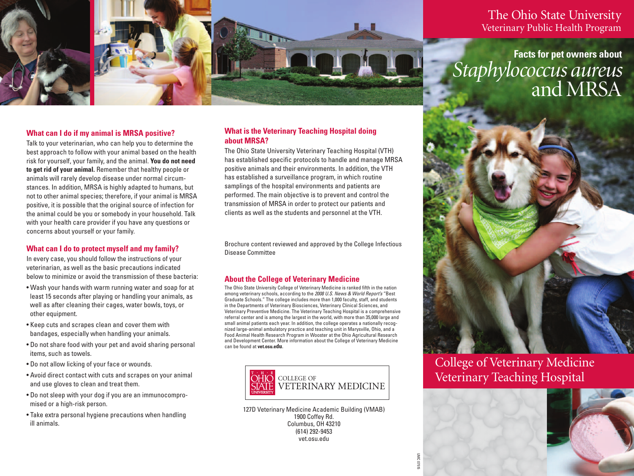

# The Ohio State University Veterinary Public Health Program

**Facts for pet owners about** *Staphylococcus aureus* and MRSA

# **What can I do if my animal is MRSA positive?**

Talk to your veterinarian, who can help you to determine the best approach to follow with your animal based on the health risk for yourself, your family, and the animal. **You do not need to get rid of your animal.** Remember that healthy people or animals will rarely develop disease under normal circumstances. In addition, MRSA is highly adapted to humans, but not to other animal species; therefore, if your animal is MRSA positive, it is possible that the original source of infection for the animal could be you or somebody in your household. Talk with your health care provider if you have any questions or concerns about yourself or your family.

### **What can I do to protect myself and my family?**

In every case, you should follow the instructions of your veterinarian, as well as the basic precautions indicated below to minimize or avoid the transmission of these bacteria:

- Wash your hands with warm running water and soap for at least 15 seconds after playing or handling your animals, as well as after cleaning their cages, water bowls, toys, or other equipment.
- Keep cuts and scrapes clean and cover them with bandages, especially when handling your animals.
- Do not share food with your pet and avoid sharing personal items, such as towels.
- Do not allow licking of your face or wounds.
- Avoid direct contact with cuts and scrapes on your animal and use gloves to clean and treat them.
- Do not sleep with your dog if you are an immunocompromised or a high-risk person.
- Take extra personal hygiene precautions when handling ill animals.

## **What is the Veterinary Teaching Hospital doing about MRSA?**

The Ohio State University Veterinary Teaching Hospital (VTH) has established specific protocols to handle and manage MRSA positive animals and their environments. In addition, the VTH has established a surveillance program, in which routine samplings of the hospital environments and patients are performed. The main objective is to prevent and control the transmission of MRSA in order to protect our patients and clients as well as the students and personnel at the VTH.

Brochure content reviewed and approved by the College Infectious Disease Committee

# **About the College of Veterinary Medicine**

The Ohio State University College of Veterinary Medicine is ranked fifth in the nation among veterinary schools, according to the *2008 U.S. News & World Report's* "Best Graduate Schools." The college includes more than 1,000 faculty, staff, and students in the Departments of Veterinary Biosciences, Veterinary Clinical Sciences, and Veterinary Preventive Medicine. The Veterinary Teaching Hospital is a comprehensive referral center and is among the largest in the world, with more than 35,000 large and small animal patients each year. In addition, the college operates a nationally recognized large-animal ambulatory practice and teaching unit in Marysville, Ohio, and a Food Animal Health Research Program in Wooster at the Ohio Agricultural Research and Development Center. More information about the College of Veterinary Medicine can be found at **vet.osu.edu**.



127D Veterinary Medicine Academic Building (VMAB) 1900 Coffey Rd. Columbus, OH 43210 (614) 292-9453 vet.osu.edu

UMC 07515



College of Veterinary Medicine COLLEGE OF Veterinary Teaching Hospital